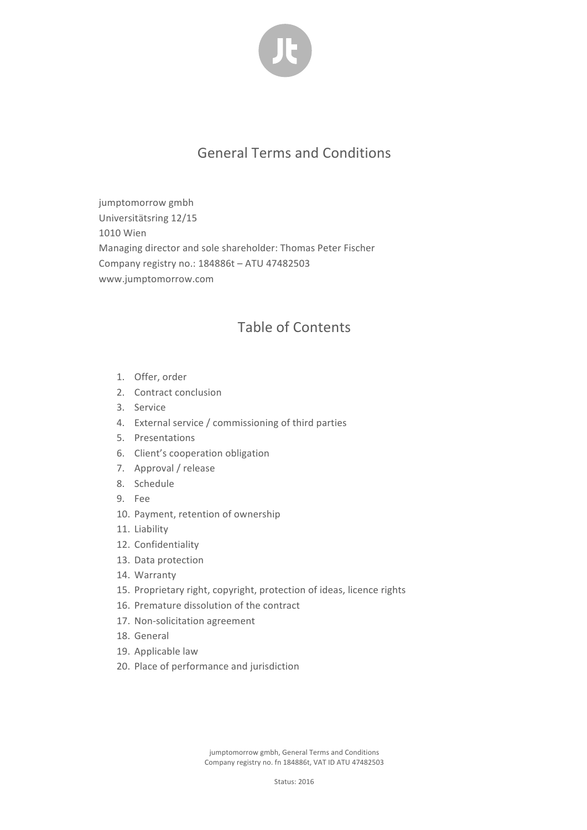

## General Terms and Conditions

jumptomorrow gmbh Universitätsring 12/15 1010 Wien Managing director and sole shareholder: Thomas Peter Fischer Company registry no.: 184886t - ATU 47482503 www.jumptomorrow.com

## Table of Contents

- 1. Offer, order
- 2. Contract conclusion
- 3. Service
- 4. External service / commissioning of third parties
- 5. Presentations
- 6. Client's cooperation obligation
- 7. Approval / release
- 8. Schedule
- 9. Fee
- 10. Payment, retention of ownership
- 11. Liability
- 12. Confidentiality
- 13. Data protection
- 14. Warranty
- 15. Proprietary right, copyright, protection of ideas, licence rights
- 16. Premature dissolution of the contract
- 17. Non-solicitation agreement
- 18. General
- 19. Applicable law
- 20. Place of performance and jurisdiction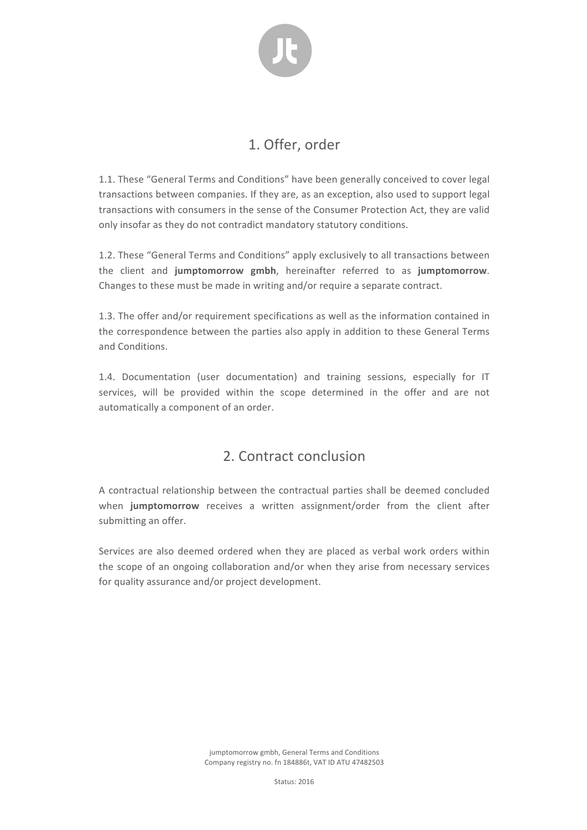

## 1. Offer, order

1.1. These "General Terms and Conditions" have been generally conceived to cover legal transactions between companies. If they are, as an exception, also used to support legal transactions with consumers in the sense of the Consumer Protection Act, they are valid only insofar as they do not contradict mandatory statutory conditions.

1.2. These "General Terms and Conditions" apply exclusively to all transactions between the client and jumptomorrow gmbh, hereinafter referred to as jumptomorrow. Changes to these must be made in writing and/or require a separate contract.

1.3. The offer and/or requirement specifications as well as the information contained in the correspondence between the parties also apply in addition to these General Terms and Conditions.

1.4. Documentation (user documentation) and training sessions, especially for IT services, will be provided within the scope determined in the offer and are not automatically a component of an order.

### 2. Contract conclusion

A contractual relationship between the contractual parties shall be deemed concluded when jumptomorrow receives a written assignment/order from the client after submitting an offer.

Services are also deemed ordered when they are placed as verbal work orders within the scope of an ongoing collaboration and/or when they arise from necessary services for quality assurance and/or project development.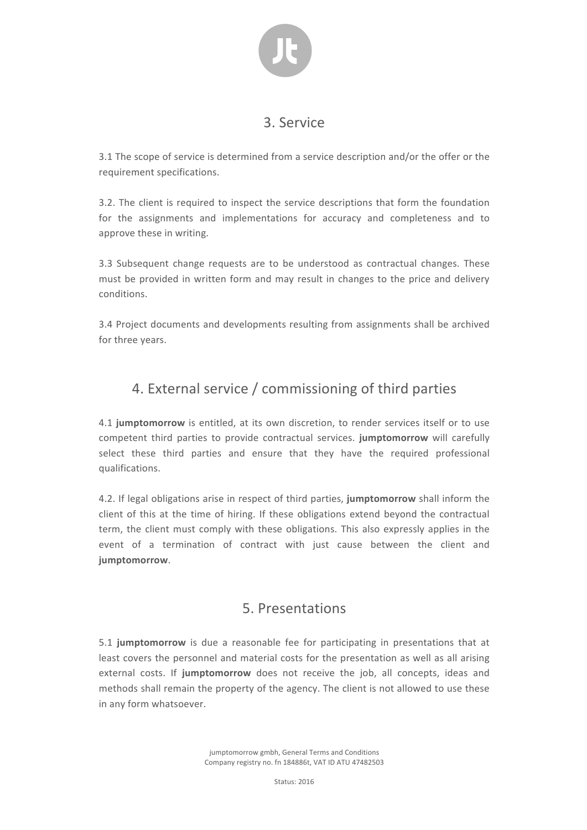

#### 3. Service

3.1 The scope of service is determined from a service description and/or the offer or the requirement specifications.

3.2. The client is required to inspect the service descriptions that form the foundation for the assignments and implementations for accuracy and completeness and to approve these in writing.

3.3 Subsequent change requests are to be understood as contractual changes. These must be provided in written form and may result in changes to the price and delivery conditions.

3.4 Project documents and developments resulting from assignments shall be archived for three years.

## 4. External service / commissioning of third parties

4.1 **jumptomorrow** is entitled, at its own discretion, to render services itself or to use competent third parties to provide contractual services. **jumptomorrow** will carefully select these third parties and ensure that they have the required professional qualifications.

4.2. If legal obligations arise in respect of third parties, jumptomorrow shall inform the client of this at the time of hiring. If these obligations extend beyond the contractual term, the client must comply with these obligations. This also expressly applies in the event of a termination of contract with just cause between the client and **jumptomorrow**.

### 5. Presentations

5.1 **jumptomorrow** is due a reasonable fee for participating in presentations that at least covers the personnel and material costs for the presentation as well as all arising external costs. If jumptomorrow does not receive the job, all concepts, ideas and methods shall remain the property of the agency. The client is not allowed to use these in any form whatsoever.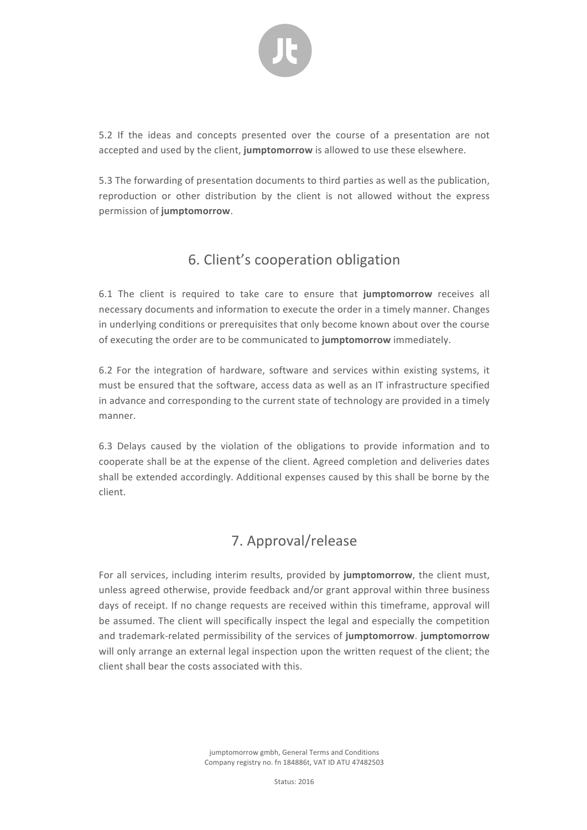

5.2 If the ideas and concepts presented over the course of a presentation are not accepted and used by the client, jumptomorrow is allowed to use these elsewhere.

5.3 The forwarding of presentation documents to third parties as well as the publication, reproduction or other distribution by the client is not allowed without the express permission of **jumptomorrow**.

## 6. Client's cooperation obligation

6.1 The client is required to take care to ensure that jumptomorrow receives all necessary documents and information to execute the order in a timely manner. Changes in underlying conditions or prerequisites that only become known about over the course of executing the order are to be communicated to jumptomorrow immediately.

6.2 For the integration of hardware, software and services within existing systems, it must be ensured that the software, access data as well as an IT infrastructure specified in advance and corresponding to the current state of technology are provided in a timely manner. 

6.3 Delays caused by the violation of the obligations to provide information and to cooperate shall be at the expense of the client. Agreed completion and deliveries dates shall be extended accordingly. Additional expenses caused by this shall be borne by the client.

## 7. Approval/release

For all services, including interim results, provided by jumptomorrow, the client must, unless agreed otherwise, provide feedback and/or grant approval within three business days of receipt. If no change requests are received within this timeframe, approval will be assumed. The client will specifically inspect the legal and especially the competition and trademark-related permissibility of the services of jumptomorrow. jumptomorrow will only arrange an external legal inspection upon the written request of the client; the client shall bear the costs associated with this.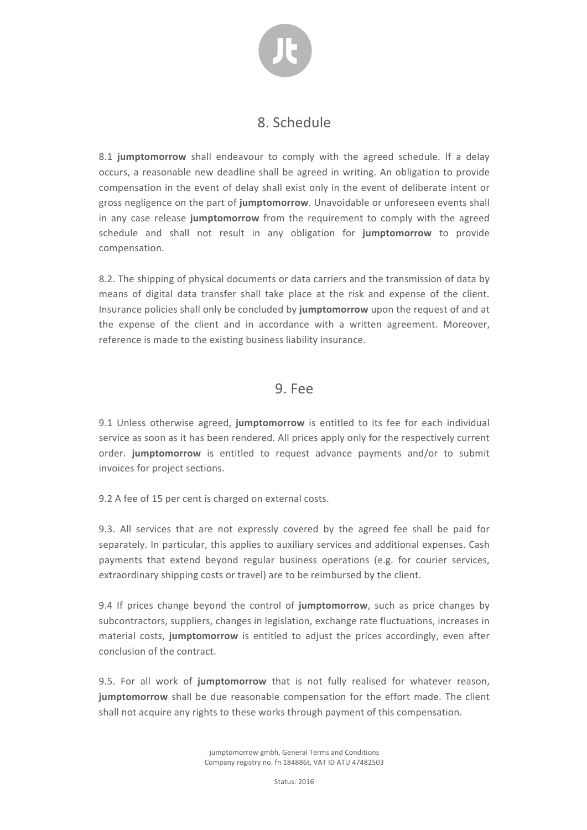

#### 8. Schedule

8.1 **jumptomorrow** shall endeavour to comply with the agreed schedule. If a delay occurs, a reasonable new deadline shall be agreed in writing. An obligation to provide compensation in the event of delay shall exist only in the event of deliberate intent or gross negligence on the part of **jumptomorrow**. Unavoidable or unforeseen events shall in any case release jumptomorrow from the requirement to comply with the agreed schedule and shall not result in any obligation for jumptomorrow to provide compensation.

8.2. The shipping of physical documents or data carriers and the transmission of data by means of digital data transfer shall take place at the risk and expense of the client. Insurance policies shall only be concluded by jumptomorrow upon the request of and at the expense of the client and in accordance with a written agreement. Moreover, reference is made to the existing business liability insurance.

#### 9. Fee

9.1 Unless otherwise agreed, jumptomorrow is entitled to its fee for each individual service as soon as it has been rendered. All prices apply only for the respectively current order. jumptomorrow is entitled to request advance payments and/or to submit invoices for project sections.

9.2 A fee of 15 per cent is charged on external costs.

9.3. All services that are not expressly covered by the agreed fee shall be paid for separately. In particular, this applies to auxiliary services and additional expenses. Cash payments that extend beyond regular business operations (e.g. for courier services, extraordinary shipping costs or travel) are to be reimbursed by the client.

9.4 If prices change beyond the control of **jumptomorrow**, such as price changes by subcontractors, suppliers, changes in legislation, exchange rate fluctuations, increases in material costs, jumptomorrow is entitled to adjust the prices accordingly, even after conclusion of the contract.

9.5. For all work of jumptomorrow that is not fully realised for whatever reason, **jumptomorrow** shall be due reasonable compensation for the effort made. The client shall not acquire any rights to these works through payment of this compensation.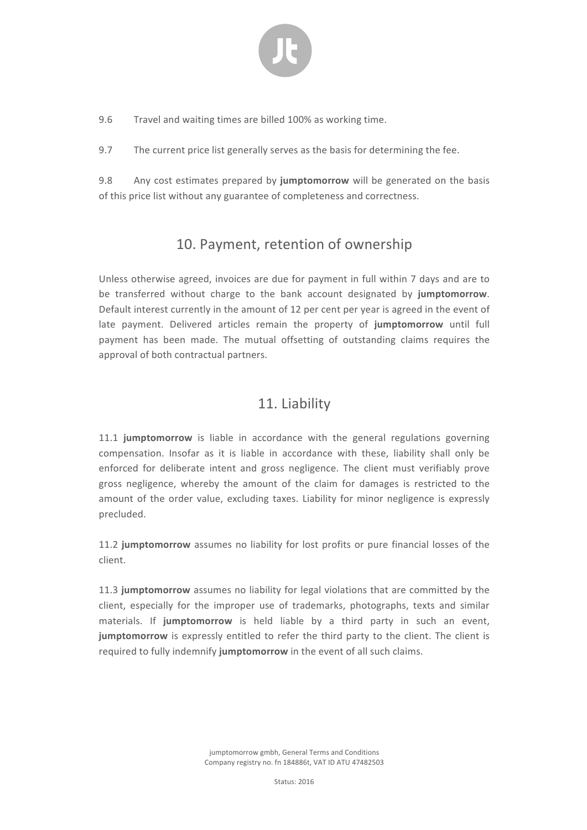

9.6 Travel and waiting times are billed 100% as working time.

9.7 The current price list generally serves as the basis for determining the fee.

9.8 Any cost estimates prepared by jumptomorrow will be generated on the basis of this price list without any guarantee of completeness and correctness.

#### 10. Payment, retention of ownership

Unless otherwise agreed, invoices are due for payment in full within 7 days and are to be transferred without charge to the bank account designated by **jumptomorrow**. Default interest currently in the amount of 12 per cent per year is agreed in the event of late payment. Delivered articles remain the property of jumptomorrow until full payment has been made. The mutual offsetting of outstanding claims requires the approval of both contractual partners.

#### 11. Liability

11.1 **jumptomorrow** is liable in accordance with the general regulations governing compensation. Insofar as it is liable in accordance with these, liability shall only be enforced for deliberate intent and gross negligence. The client must verifiably prove gross negligence, whereby the amount of the claim for damages is restricted to the amount of the order value, excluding taxes. Liability for minor negligence is expressly precluded.

11.2 **jumptomorrow** assumes no liability for lost profits or pure financial losses of the client.

11.3 **jumptomorrow** assumes no liability for legal violations that are committed by the client, especially for the improper use of trademarks, photographs, texts and similar materials. If jumptomorrow is held liable by a third party in such an event, **jumptomorrow** is expressly entitled to refer the third party to the client. The client is required to fully indemnify jumptomorrow in the event of all such claims.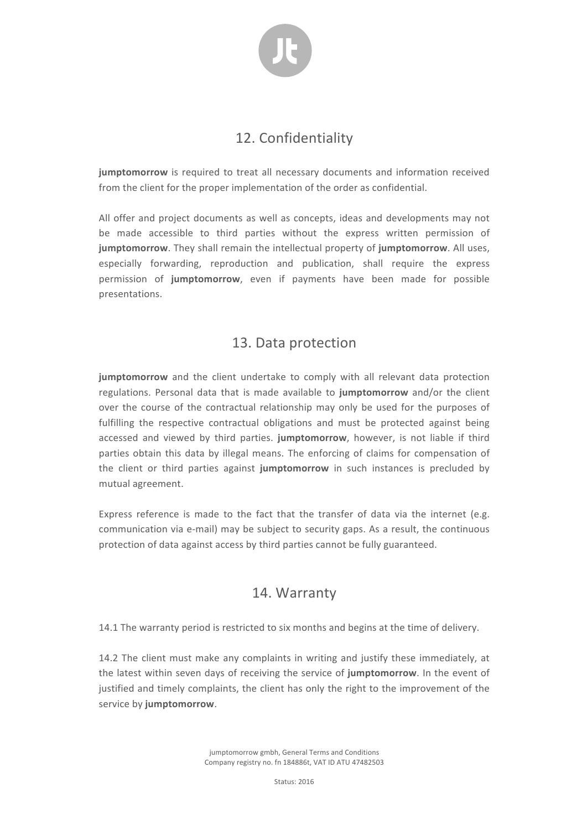

#### 12. Confidentiality

**jumptomorrow** is required to treat all necessary documents and information received from the client for the proper implementation of the order as confidential.

All offer and project documents as well as concepts, ideas and developments may not be made accessible to third parties without the express written permission of **jumptomorrow**. They shall remain the intellectual property of **jumptomorrow**. All uses, especially forwarding, reproduction and publication, shall require the express permission of **jumptomorrow**, even if payments have been made for possible presentations.

#### 13. Data protection

**jumptomorrow** and the client undertake to comply with all relevant data protection regulations. Personal data that is made available to jumptomorrow and/or the client over the course of the contractual relationship may only be used for the purposes of fulfilling the respective contractual obligations and must be protected against being accessed and viewed by third parties. jumptomorrow, however, is not liable if third parties obtain this data by illegal means. The enforcing of claims for compensation of the client or third parties against **jumptomorrow** in such instances is precluded by mutual agreement.

Express reference is made to the fact that the transfer of data via the internet (e.g. communication via e-mail) may be subject to security gaps. As a result, the continuous protection of data against access by third parties cannot be fully guaranteed.

#### 14. Warranty

14.1 The warranty period is restricted to six months and begins at the time of delivery.

14.2 The client must make any complaints in writing and justify these immediately, at the latest within seven days of receiving the service of jumptomorrow. In the event of justified and timely complaints, the client has only the right to the improvement of the service by jumptomorrow.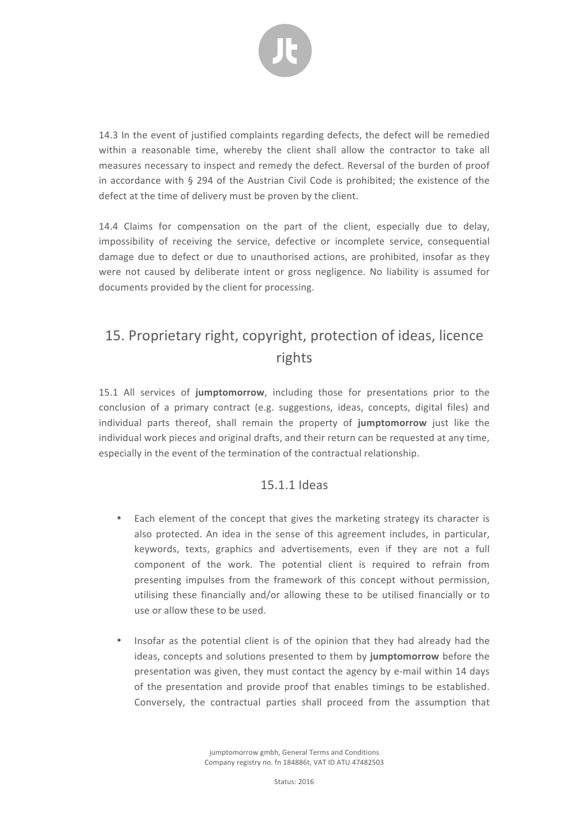

14.3 In the event of justified complaints regarding defects, the defect will be remedied within a reasonable time, whereby the client shall allow the contractor to take all measures necessary to inspect and remedy the defect. Reversal of the burden of proof in accordance with  $\S$  294 of the Austrian Civil Code is prohibited; the existence of the defect at the time of delivery must be proven by the client.

14.4 Claims for compensation on the part of the client, especially due to delay, impossibility of receiving the service, defective or incomplete service, consequential damage due to defect or due to unauthorised actions, are prohibited, insofar as they were not caused by deliberate intent or gross negligence. No liability is assumed for documents provided by the client for processing.

# 15. Proprietary right, copyright, protection of ideas, licence rights

15.1 All services of jumptomorrow, including those for presentations prior to the conclusion of a primary contract (e.g. suggestions, ideas, concepts, digital files) and individual parts thereof, shall remain the property of jumptomorrow just like the individual work pieces and original drafts, and their return can be requested at any time. especially in the event of the termination of the contractual relationship.

#### 15.1.1 Ideas

- Each element of the concept that gives the marketing strategy its character is also protected. An idea in the sense of this agreement includes, in particular, keywords, texts, graphics and advertisements, even if they are not a full component of the work. The potential client is required to refrain from presenting impulses from the framework of this concept without permission, utilising these financially and/or allowing these to be utilised financially or to use or allow these to be used.
- Insofar as the potential client is of the opinion that they had already had the ideas, concepts and solutions presented to them by jumptomorrow before the presentation was given, they must contact the agency by e-mail within 14 days of the presentation and provide proof that enables timings to be established. Conversely, the contractual parties shall proceed from the assumption that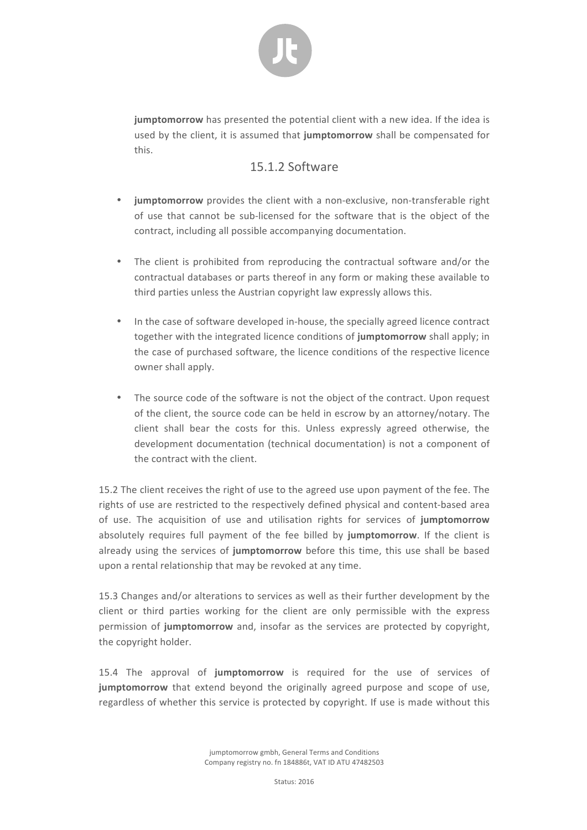

**jumptomorrow** has presented the potential client with a new idea. If the idea is used by the client, it is assumed that jumptomorrow shall be compensated for this.

#### 15.1.2 Software

- **jumptomorrow** provides the client with a non-exclusive, non-transferable right of use that cannot be sub-licensed for the software that is the object of the contract, including all possible accompanying documentation.
- The client is prohibited from reproducing the contractual software and/or the contractual databases or parts thereof in any form or making these available to third parties unless the Austrian copyright law expressly allows this.
- In the case of software developed in-house, the specially agreed licence contract together with the integrated licence conditions of **jumptomorrow** shall apply; in the case of purchased software, the licence conditions of the respective licence owner shall apply.
- The source code of the software is not the object of the contract. Upon request of the client, the source code can be held in escrow by an attorney/notary. The client shall bear the costs for this. Unless expressly agreed otherwise, the development documentation (technical documentation) is not a component of the contract with the client.

15.2 The client receives the right of use to the agreed use upon payment of the fee. The rights of use are restricted to the respectively defined physical and content-based area of use. The acquisition of use and utilisation rights for services of **jumptomorrow** absolutely requires full payment of the fee billed by jumptomorrow. If the client is already using the services of **jumptomorrow** before this time, this use shall be based upon a rental relationship that may be revoked at any time.

15.3 Changes and/or alterations to services as well as their further development by the client or third parties working for the client are only permissible with the express permission of jumptomorrow and, insofar as the services are protected by copyright, the copyright holder.

15.4 The approval of jumptomorrow is required for the use of services of **jumptomorrow** that extend beyond the originally agreed purpose and scope of use, regardless of whether this service is protected by copyright. If use is made without this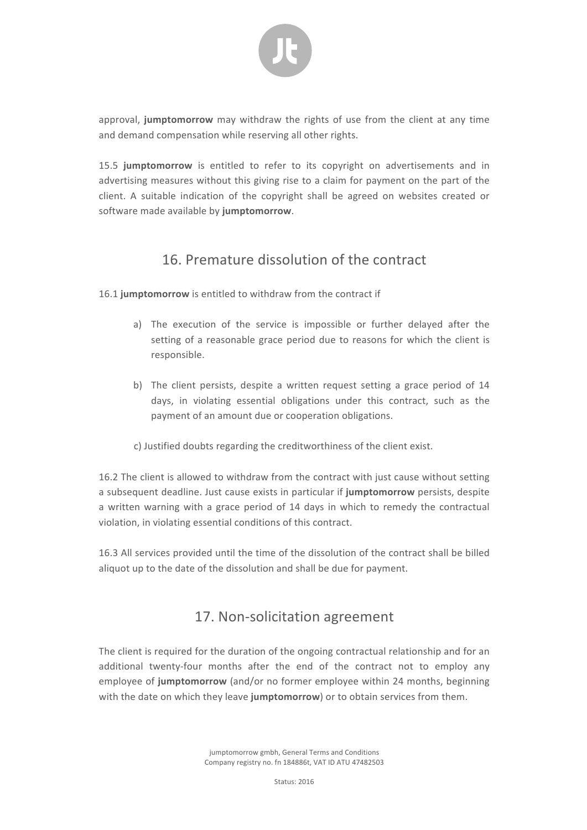

approval, jumptomorrow may withdraw the rights of use from the client at any time and demand compensation while reserving all other rights.

15.5 jumptomorrow is entitled to refer to its copyright on advertisements and in advertising measures without this giving rise to a claim for payment on the part of the client. A suitable indication of the copyright shall be agreed on websites created or software made available by **jumptomorrow**.

### 16. Premature dissolution of the contract

16.1 jumptomorrow is entitled to withdraw from the contract if

- a) The execution of the service is impossible or further delayed after the setting of a reasonable grace period due to reasons for which the client is responsible.
- b) The client persists, despite a written request setting a grace period of 14 days, in violating essential obligations under this contract, such as the payment of an amount due or cooperation obligations.
- c) Justified doubts regarding the creditworthiness of the client exist.

16.2 The client is allowed to withdraw from the contract with just cause without setting a subsequent deadline. Just cause exists in particular if **jumptomorrow** persists, despite a written warning with a grace period of 14 days in which to remedy the contractual violation, in violating essential conditions of this contract.

16.3 All services provided until the time of the dissolution of the contract shall be billed aliquot up to the date of the dissolution and shall be due for payment.

### 17. Non-solicitation agreement

The client is required for the duration of the ongoing contractual relationship and for an additional twenty-four months after the end of the contract not to employ any employee of jumptomorrow (and/or no former employee within 24 months, beginning with the date on which they leave jumptomorrow) or to obtain services from them.